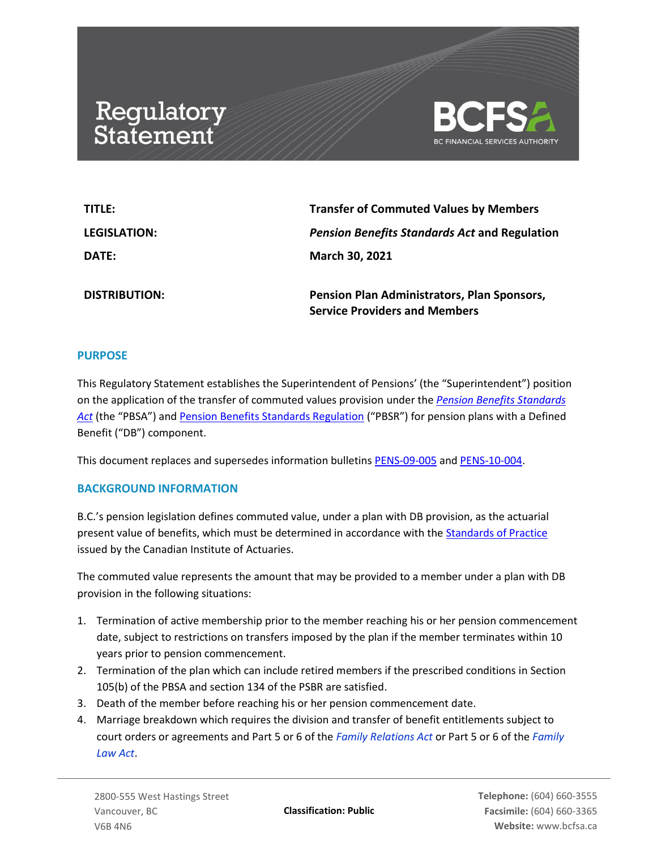# Regulatory<br>Statement



| TITLE:               | <b>Transfer of Commuted Values by Members</b>                                       |
|----------------------|-------------------------------------------------------------------------------------|
| <b>LEGISLATION:</b>  | <b>Pension Benefits Standards Act and Regulation</b>                                |
| <b>DATE:</b>         | <b>March 30, 2021</b>                                                               |
| <b>DISTRIBUTION:</b> | Pension Plan Administrators, Plan Sponsors,<br><b>Service Providers and Members</b> |

## **PURPOSE**

This Regulatory Statement establishes the Superintendent of Pensions' (the "Superintendent") position on the application of the transfer of commuted values provision under the *[Pension Benefits Standards](https://www.bclaws.gov.bc.ca/civix/document/id/complete/statreg/00_12030)  [Act](https://www.bclaws.gov.bc.ca/civix/document/id/complete/statreg/00_12030)* (the "PBSA") and [Pension Benefits Standards Regulation](https://www.bclaws.gov.bc.ca/civix/document/id/complete/statreg/71_2015) ("PBSR") for pension plans with a Defined Benefit ("DB") component.

This document replaces and supersedes information bulletins [PENS-09-005](https://www.bcfsa.ca/pdf/Pensions/bulletins/PENS-09-005.pdf) and [PENS-10-004.](https://www.bcfsa.ca/pdf/Pensions/bulletins/PENS-10-004.pdf)

## **BACKGROUND INFORMATION**

B.C.'s pension legislation defines commuted value, under a plan with DB provision, as the actuarial present value of benefits, which must be determined in accordance with th[e Standards of Practice](https://www.cia-ica.ca/publications/standards-of-practice) issued by the Canadian Institute of Actuaries.

The commuted value represents the amount that may be provided to a member under a plan with DB provision in the following situations:

- 1. Termination of active membership prior to the member reaching his or her pension commencement date, subject to restrictions on transfers imposed by the plan if the member terminates within 10 years prior to pension commencement.
- 2. Termination of the plan which can include retired members if the prescribed conditions in Section 105(b) of the PBSA and section 134 of the PSBR are satisfied.
- 3. Death of the member before reaching his or her pension commencement date.
- 4. Marriage breakdown which requires the division and transfer of benefit entitlements subject to court orders or agreements and Part 5 or 6 of the *[Family Relations Act](https://www.bclaws.gov.bc.ca/civix/document/id/complete/statreg/96128REP_01)* or Part 5 or 6 of the *[Family](https://www.bclaws.gov.bc.ca/civix/document/id/complete/statreg/11025_01)  [Law Act](https://www.bclaws.gov.bc.ca/civix/document/id/complete/statreg/11025_01)*.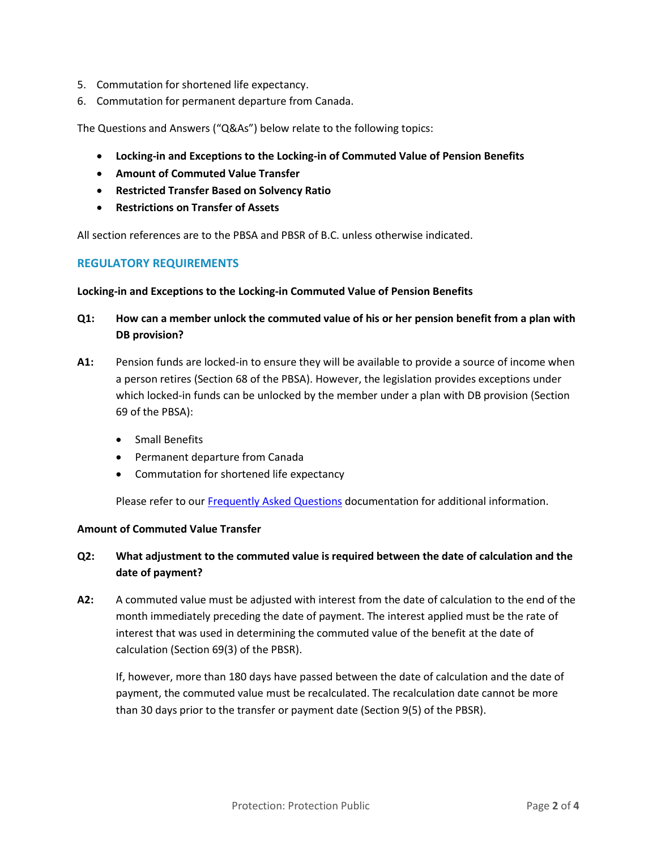- 5. Commutation for shortened life expectancy.
- 6. Commutation for permanent departure from Canada.

The Questions and Answers ("Q&As") below relate to the following topics:

- **Locking-in and Exceptions to the Locking-in of Commuted Value of Pension Benefits**
- **Amount of Commuted Value Transfer**
- **Restricted Transfer Based on Solvency Ratio**
- **Restrictions on Transfer of Assets**

All section references are to the PBSA and PBSR of B.C. unless otherwise indicated.

## **REGULATORY REQUIREMENTS**

### **Locking-in and Exceptions to the Locking-in Commuted Value of Pension Benefits**

- **Q1: How can a member unlock the commuted value of his or her pension benefit from a plan with DB provision?**
- **A1:** Pension funds are locked-in to ensure they will be available to provide a source of income when a person retires (Section 68 of the PBSA). However, the legislation provides exceptions under which locked-in funds can be unlocked by the member under a plan with DB provision (Section 69 of the PBSA):
	- Small Benefits
	- Permanent departure from Canada
	- Commutation for shortened life expectancy

Please refer to ou[r Frequently Asked Questions](https://www.bcfsa.ca/pdf/Pensions/FAQ.pdf?v=9) documentation for additional information.

## **Amount of Commuted Value Transfer**

## **Q2: What adjustment to the commuted value is required between the date of calculation and the date of payment?**

**A2:** A commuted value must be adjusted with interest from the date of calculation to the end of the month immediately preceding the date of payment. The interest applied must be the rate of interest that was used in determining the commuted value of the benefit at the date of calculation (Section 69(3) of the PBSR).

If, however, more than 180 days have passed between the date of calculation and the date of payment, the commuted value must be recalculated. The recalculation date cannot be more than 30 days prior to the transfer or payment date (Section 9(5) of the PBSR).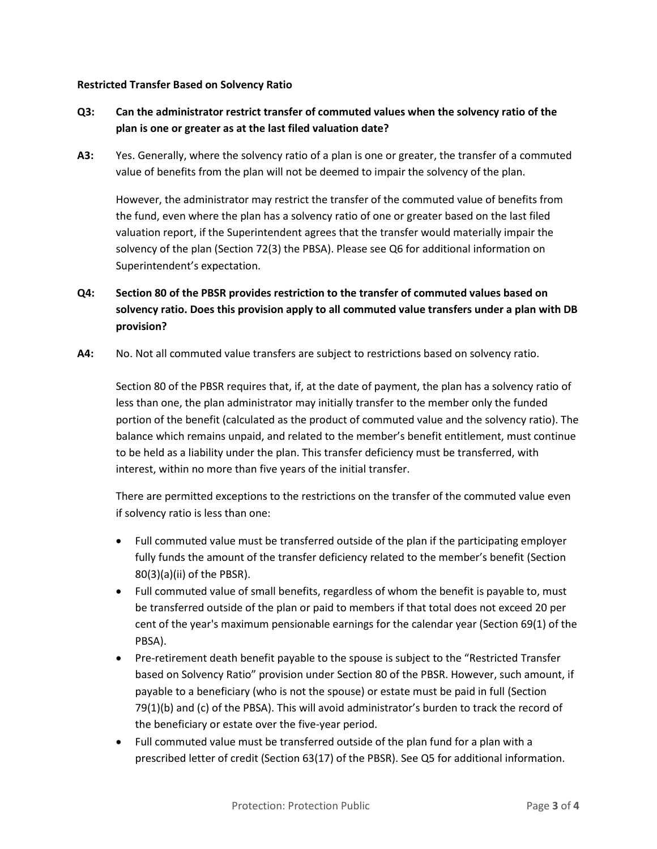### **Restricted Transfer Based on Solvency Ratio**

# **Q3: Can the administrator restrict transfer of commuted values when the solvency ratio of the plan is one or greater as at the last filed valuation date?**

**A3:** Yes. Generally, where the solvency ratio of a plan is one or greater, the transfer of a commuted value of benefits from the plan will not be deemed to impair the solvency of the plan.

However, the administrator may restrict the transfer of the commuted value of benefits from the fund, even where the plan has a solvency ratio of one or greater based on the last filed valuation report, if the Superintendent agrees that the transfer would materially impair the solvency of the plan (Section 72(3) the PBSA). Please see Q6 for additional information on Superintendent's expectation.

# **Q4: Section 80 of the PBSR provides restriction to the transfer of commuted values based on solvency ratio. Does this provision apply to all commuted value transfers under a plan with DB provision?**

**A4:** No. Not all commuted value transfers are subject to restrictions based on solvency ratio.

Section 80 of the PBSR requires that, if, at the date of payment, the plan has a solvency ratio of less than one, the plan administrator may initially transfer to the member only the funded portion of the benefit (calculated as the product of commuted value and the solvency ratio). The balance which remains unpaid, and related to the member's benefit entitlement, must continue to be held as a liability under the plan. This transfer deficiency must be transferred, with interest, within no more than five years of the initial transfer.

There are permitted exceptions to the restrictions on the transfer of the commuted value even if solvency ratio is less than one:

- Full commuted value must be transferred outside of the plan if the participating employer fully funds the amount of the transfer deficiency related to the member's benefit (Section 80(3)(a)(ii) of the PBSR).
- Full commuted value of small benefits, regardless of whom the benefit is payable to, must be transferred outside of the plan or paid to members if that total does not exceed 20 per cent of the year's maximum pensionable earnings for the calendar year (Section 69(1) of the PBSA).
- Pre-retirement death benefit payable to the spouse is subject to the "Restricted Transfer based on Solvency Ratio" provision under Section 80 of the PBSR. However, such amount, if payable to a beneficiary (who is not the spouse) or estate must be paid in full (Section 79(1)(b) and (c) of the PBSA). This will avoid administrator's burden to track the record of the beneficiary or estate over the five-year period.
- Full commuted value must be transferred outside of the plan fund for a plan with a prescribed letter of credit (Section 63(17) of the PBSR). See Q5 for additional information.